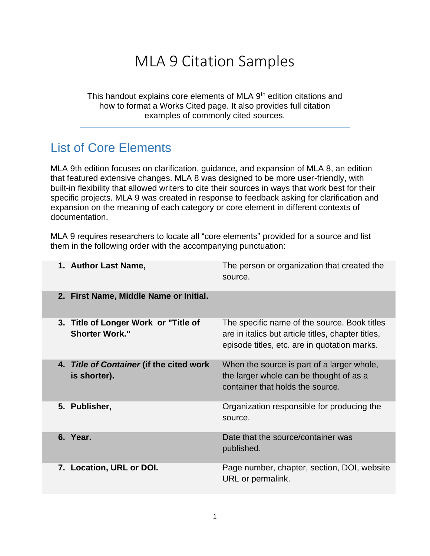# MLA 9 Citation Samples

This handout explains core elements of MLA 9<sup>th</sup> edition citations and how to format a Works Cited page. It also provides full citation examples of commonly cited sources.

### List of Core Elements

MLA 9th edition focuses on clarification, guidance, and expansion of MLA 8, an edition that featured extensive changes. MLA 8 was designed to be more user-friendly, with built-in flexibility that allowed writers to cite their sources in ways that work best for their specific projects. MLA 9 was created in response to feedback asking for clarification and expansion on the meaning of each category or core element in different contexts of documentation.

MLA 9 requires researchers to locate all "core elements" provided for a source and list them in the following order with the accompanying punctuation:

| 1. Author Last Name,                                          | The person or organization that created the<br>source.                                                                                             |
|---------------------------------------------------------------|----------------------------------------------------------------------------------------------------------------------------------------------------|
| 2. First Name, Middle Name or Initial.                        |                                                                                                                                                    |
| 3. Title of Longer Work or "Title of<br><b>Shorter Work."</b> | The specific name of the source. Book titles<br>are in italics but article titles, chapter titles,<br>episode titles, etc. are in quotation marks. |
| 4. Title of Container (if the cited work<br>is shorter).      | When the source is part of a larger whole,<br>the larger whole can be thought of as a<br>container that holds the source.                          |
| 5. Publisher,                                                 | Organization responsible for producing the<br>source.                                                                                              |
| 6. Year.                                                      | Date that the source/container was<br>published.                                                                                                   |
| 7. Location, URL or DOI.                                      | Page number, chapter, section, DOI, website<br>URL or permalink.                                                                                   |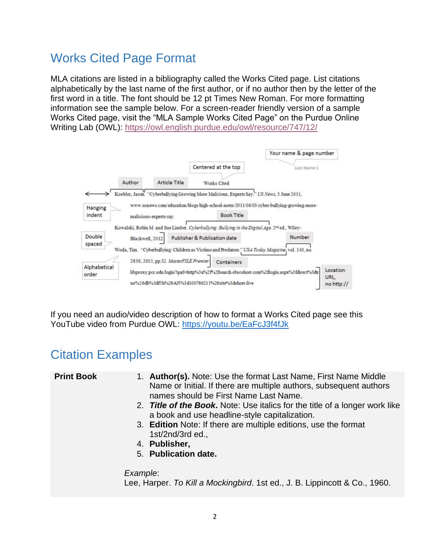## Works Cited Page Format

MLA citations are listed in a bibliography called the Works Cited page. List citations alphabetically by the last name of the first author, or if no author then by the letter of the first word in a title. The font should be 12 pt Times New Roman. For more formatting information see the sample below. For a screen-reader friendly version of a sample Works Cited page, visit the "MLA Sample Works Cited Page" on the Purdue Online Writing Lab (OWL):<https://owl.english.purdue.edu/owl/resource/747/12/>

|                   |                  |                                        | Centered at the top                                                                                        | Your name & page number<br>Last Name 1                                                   |                  |
|-------------------|------------------|----------------------------------------|------------------------------------------------------------------------------------------------------------|------------------------------------------------------------------------------------------|------------------|
|                   | Author           | Article Title                          | Works Cited                                                                                                |                                                                                          |                  |
|                   |                  |                                        | Koebler, Jason. "Cyberbullying Growing More Malicious, Experts Say." US News, 3 June 2011,                 |                                                                                          |                  |
| Hanging<br>indent |                  | malicious-experts-say.                 | <b>Book Title</b>                                                                                          | www.usnews.com/education/blogs/high-school-notes/2011/06/03/cyber-bullying-growing-more- |                  |
|                   |                  |                                        | Kowalski, Robin M. and Sue Limber. Cyberbuilying: Bullying in the Digital Age. 2 <sup>26</sup> ed., Wiley- |                                                                                          |                  |
| Double<br>spaced  | Blackwell, 2012. |                                        | Publisher & Publication date                                                                               | Number                                                                                   |                  |
|                   |                  |                                        | Woda, Tim. "Cyberbullying: Children as Victims and Predators." USA Today Magazine, vol. 143, no.           |                                                                                          |                  |
| Alphabetical      |                  | 2836, 2015, pp.32. MasterFILE Premier. | Containers                                                                                                 |                                                                                          |                  |
| order             |                  |                                        |                                                                                                            | libproxy.pcc.edu/login?qurl=http%3a%2f%2fsearch.ebscohost.com%2flogin.aspx%3fdirect%3dtr | Location<br>URL. |
|                   |                  |                                        | ue%26db%3df5h%26AN%3d100786211%26site%3dehost-live                                                         |                                                                                          | no http://       |

If you need an audio/video description of how to format a Works Cited page see this YouTube video from Purdue OWL:<https://youtu.be/EaFcJ3f4fJk>

### Citation Examples

| <b>Print Book</b> | 1. Author(s). Note: Use the format Last Name, First Name Middle<br>Name or Initial. If there are multiple authors, subsequent authors<br>names should be First Name Last Name. |
|-------------------|--------------------------------------------------------------------------------------------------------------------------------------------------------------------------------|
|                   | 2. Title of the Book. Note: Use italics for the title of a longer work like<br>a book and use headline-style capitalization.                                                   |
|                   | 3. Edition Note: If there are multiple editions, use the format<br>$1st/2nd/3rd$ ed.,                                                                                          |
|                   | 4. Publisher,                                                                                                                                                                  |
|                   | 5. Publication date.                                                                                                                                                           |
|                   | Example:<br>Lee, Harper. To Kill a Mockingbird. 1st ed., J. B. Lippincott & Co., 1960.                                                                                         |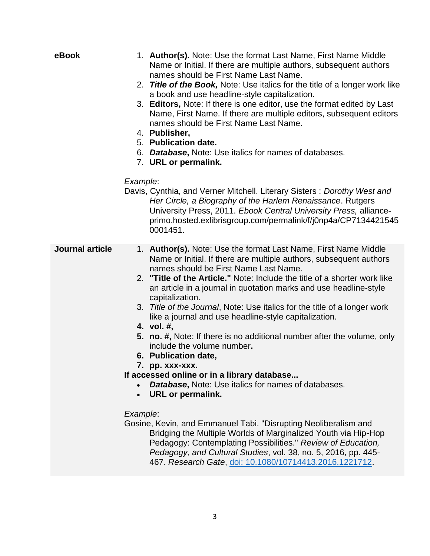| eBook                  | 1. Author(s). Note: Use the format Last Name, First Name Middle<br>Name or Initial. If there are multiple authors, subsequent authors<br>names should be First Name Last Name.<br>2. Title of the Book, Note: Use italics for the title of a longer work like<br>a book and use headline-style capitalization.<br>3. Editors, Note: If there is one editor, use the format edited by Last<br>Name, First Name. If there are multiple editors, subsequent editors<br>names should be First Name Last Name.<br>4. Publisher,<br>5. Publication date.<br>6. Database, Note: Use italics for names of databases.<br>7. URL or permalink.                                                                                                                                                                                                                                                                                                                                                                                                                                                                                                               |
|------------------------|----------------------------------------------------------------------------------------------------------------------------------------------------------------------------------------------------------------------------------------------------------------------------------------------------------------------------------------------------------------------------------------------------------------------------------------------------------------------------------------------------------------------------------------------------------------------------------------------------------------------------------------------------------------------------------------------------------------------------------------------------------------------------------------------------------------------------------------------------------------------------------------------------------------------------------------------------------------------------------------------------------------------------------------------------------------------------------------------------------------------------------------------------|
|                        | Example:<br>Davis, Cynthia, and Verner Mitchell. Literary Sisters: Dorothy West and<br>Her Circle, a Biography of the Harlem Renaissance. Rutgers<br>University Press, 2011. Ebook Central University Press, alliance-<br>primo.hosted.exlibrisgroup.com/permalink/f/j0np4a/CP7134421545<br>0001451.                                                                                                                                                                                                                                                                                                                                                                                                                                                                                                                                                                                                                                                                                                                                                                                                                                               |
| <b>Journal article</b> | 1. Author(s). Note: Use the format Last Name, First Name Middle<br>Name or Initial. If there are multiple authors, subsequent authors<br>names should be First Name Last Name.<br>2. "Title of the Article." Note: Include the title of a shorter work like<br>an article in a journal in quotation marks and use headline-style<br>capitalization.<br>3. Title of the Journal, Note: Use italics for the title of a longer work<br>like a journal and use headline-style capitalization.<br>4. vol. #,<br>5. no. #, Note: If there is no additional number after the volume, only<br>include the volume number.<br>6. Publication date,<br>7. рр. ххх-ххх.<br>If accessed online or in a library database<br><b>Database, Note: Use italics for names of databases.</b><br><b>URL or permalink.</b><br>Example:<br>Gosine, Kevin, and Emmanuel Tabi. "Disrupting Neoliberalism and<br>Bridging the Multiple Worlds of Marginalized Youth via Hip-Hop<br>Pedagogy: Contemplating Possibilities." Review of Education,<br>Pedagogy, and Cultural Studies, vol. 38, no. 5, 2016, pp. 445-<br>467. Research Gate, doi: 10.1080/10714413.2016.1221712. |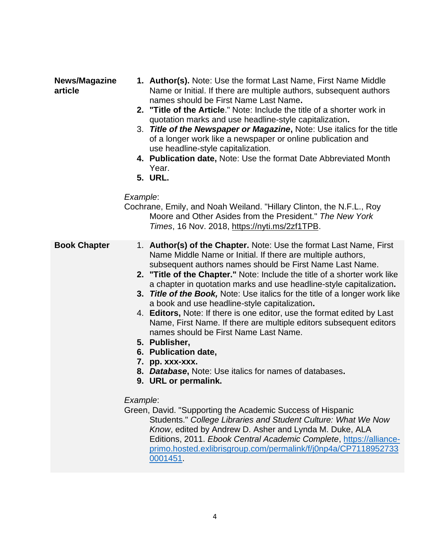#### **News/Magazine article**

- **1. Author(s).** Note: Use the format Last Name, First Name Middle Name or Initial. If there are multiple authors, subsequent authors names should be First Name Last Name**.**
- **2. "Title of the Article**." Note: Include the title of a shorter work in quotation marks and use headline-style capitalization**.**
- 3. *Title of the Newspaper or Magazine***,** Note: Use italics for the title of a longer work like a newspaper or online publication and use headline-style capitalization.
- **4. Publication date,** Note: Use the format Date Abbreviated Month Year.
- **5. URL.**

#### *Example*:

Cochrane, Emily, and Noah Weiland. "Hillary Clinton, the N.F.L., Roy Moore and Other Asides from the President." *The New York Times*, 16 Nov. 2018, [https://nyti.ms/2zf1TPB.](https://nyti.ms/2zf1TPB)

- **Book Chapter** 1. **Author(s) of the Chapter.** Note: Use the format Last Name, First Name Middle Name or Initial. If there are multiple authors, subsequent authors names should be First Name Last Name.
	- **2. "Title of the Chapter."** Note: Include the title of a shorter work like a chapter in quotation marks and use headline-style capitalization**.**
	- **3.** *Title of the Book,* Note: Use italics for the title of a longer work like a book and use headline-style capitalization**.**
	- 4. **Editors,** Note: If there is one editor, use the format edited by Last Name, First Name. If there are multiple editors subsequent editors names should be First Name Last Name.
	- **5. Publisher,**
	- **6. Publication date,**
	- **7. pp. xxx-xxx.**
	- **8.** *Database***,** Note: Use italics for names of databases**.**
	- **9. URL or permalink.**

#### *Example*:

Green, David. "Supporting the Academic Success of Hispanic Students." *College Libraries and Student Culture: What We Now Know*, edited by Andrew D. Asher and Lynda M. Duke, ALA Editions, 2011. *Ebook Central Academic Complete*, [https://alliance](https://alliance-primo.hosted.exlibrisgroup.com/permalink/f/j0np4a/CP71189527330001451)[primo.hosted.exlibrisgroup.com/permalink/f/j0np4a/CP7118952733](https://alliance-primo.hosted.exlibrisgroup.com/permalink/f/j0np4a/CP71189527330001451) [0001451.](https://alliance-primo.hosted.exlibrisgroup.com/permalink/f/j0np4a/CP71189527330001451)